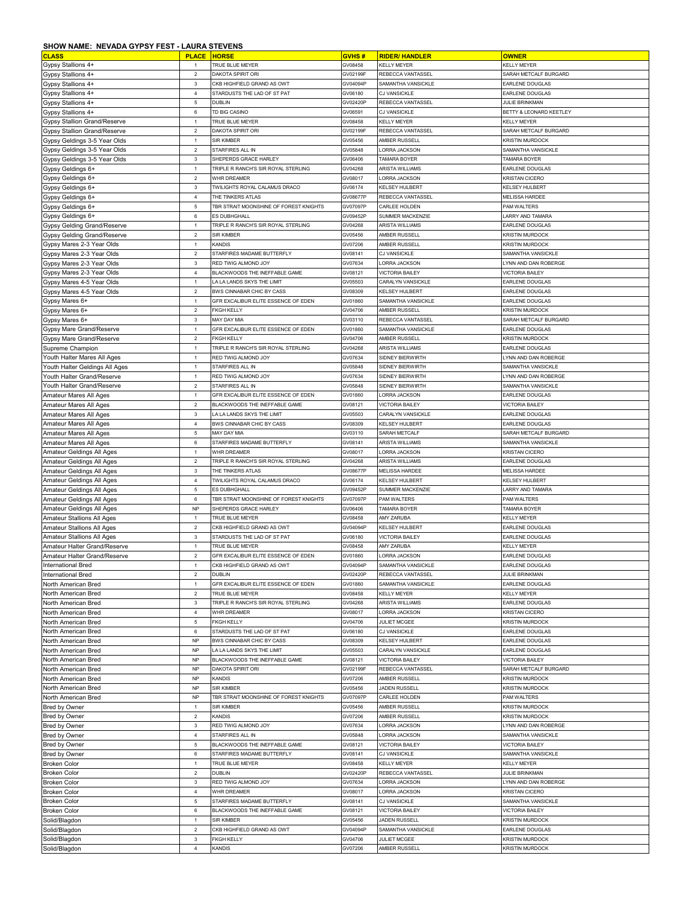## **SHOW NAME: NEVADA GYPSY FEST - LAURA STEVENS**

| <b>CLASS</b>                       | <b>PLACE</b>              | <b>HORSE</b>                           | <b>GVHS#</b> | <b>RIDER/ HANDLER</b>  | <b>OWNER</b>            |
|------------------------------------|---------------------------|----------------------------------------|--------------|------------------------|-------------------------|
| Gypsy Stallions 4+                 | $\overline{1}$            | TRUE BLUE MEYER                        | GV08458      | <b>KELLY MEYER</b>     | KELLY MEYER             |
| Gypsy Stallions 4+                 | $\overline{2}$            | DAKOTA SPIRIT ORI                      | GV02199F     | REBECCA VANTASSEL      | SARAH METCALF BURGARD   |
| Gypsy Stallions 4+                 | $\mathbf 3$               | CKB HIGHFIELD GRAND AS OWT             | GV04094F     | SAMANTHA VANSICKLE     | EARLENE DOUGLAS         |
|                                    | $\overline{4}$            | STARDUSTS THE LAD OF ST PAT            | GV06180      | CJ VANSICKLE           | EARLENE DOUGLAS         |
| Gypsy Stallions 4+                 |                           |                                        |              |                        |                         |
| Gypsy Stallions 4+                 | $\mathbf 5$               | DUBLIN                                 | GV02420F     | REBECCA VANTASSEL      | <b>JULIE BRINKMAN</b>   |
| Gypsy Stallions 4+                 | $\,6\,$                   | TD BIG CASINO                          | GV06591      | CJ VANSICKLE           | BETTY & LEONARD KEETLEY |
| Gypsy Stallion Grand/Reserve       | $\mathbf{1}$              | TRUE BLUE MEYER                        | GV08458      | <b>KELLY MEYER</b>     | <b>KELLY MEYER</b>      |
| Gypsy Stallion Grand/Reserve       | $\overline{2}$            | <b>DAKOTA SPIRIT ORI</b>               | GV02199F     | REBECCA VANTASSEL      | SARAH METCALF BURGARD   |
| Gypsy Geldings 3-5 Year Olds       | $\mathbf{1}$              | SIR KIMBER                             | GV05456      | AMBER RUSSELL          | KRISTIN MURDOCK         |
| Gypsy Geldings 3-5 Year Olds       | $\overline{2}$            | STARFIRES ALL IN                       | GV05848      | <b>LORRA JACKSON</b>   | SAMANTHA VANSICKLE      |
| Gypsy Geldings 3-5 Year Olds       | $\ensuremath{\mathsf{3}}$ | SHEPERDS GRACE HARLEY                  | GV06406      | TAMARA BOYER           | TAMARA BOYER            |
| Gypsy Geldings 6+                  | $\mathbf{1}$              | TRIPLE R RANCH'S SIR ROYAL STERLING    | GV04268      | ARISTA WILLIAMS        | EARLENE DOUGLAS         |
| Gypsy Geldings 6+                  | $\overline{2}$            | WHR DREAMER                            | GV08017      | <b>LORRA JACKSON</b>   | <b>KRISTAN CICERO</b>   |
| Gypsy Geldings 6+                  | $\mathbf 3$               | TWILIGHTS ROYAL CALAMUS DRACO          | GV06174      | KELSEY HULBERT         | KELSEY HULBERT          |
| Gypsy Geldings 6+                  | $\overline{4}$            | THE TINKERS ATLAS                      | GV08677F     | REBECCA VANTASSEL      | <b>MELISSA HARDEE</b>   |
|                                    | $\mathbf 5$               | TBR STRAIT MOONSHINE OF FOREST KNIGHTS | GV07097F     | CARLEE HOLDEN          | PAM WALTERS             |
| Gypsy Geldings 6+                  | 6                         |                                        |              |                        |                         |
| Gypsy Geldings 6+                  |                           | ES DUBHGHALL                           | GV09452F     | SUMMER MACKENZIE       | LARRY AND TAMARA        |
| Gypsy Gelding Grand/Reserve        | $\mathbf{1}$              | TRIPLE R RANCH'S SIR ROYAL STERLING    | GV04268      | ARISTA WILLIAMS        | EARLENE DOUGLAS         |
| <b>Gypsy Gelding Grand/Reserve</b> | $\overline{2}$            | <b>SIR KIMBER</b>                      | GV05456      | AMBER RUSSELL          | <b>KRISTIN MURDOCK</b>  |
| Gypsy Mares 2-3 Year Olds          | $\mathbf{1}$              | KANDIS                                 | GV07206      | AMBER RUSSELL          | <b>KRISTIN MURDOCK</b>  |
| Gypsy Mares 2-3 Year Olds          | $\overline{2}$            | STARFIRES MADAME BUTTERFLY             | GV08141      | CJ VANSICKLE           | SAMANTHA VANSICKLE      |
| Gypsy Mares 2-3 Year Olds          | $\ensuremath{\mathsf{3}}$ | RED TWIG ALMOND JOY                    | GV07634      | LORRA JACKSON          | LYNN AND DAN ROBERGE    |
| Gypsy Mares 2-3 Year Olds          | $\overline{4}$            | BLACKWOODS THE INEFFABLE GAME          | GV08121      | <b>VICTORIA BAILEY</b> | <b>VICTORIA BAILEY</b>  |
| Gypsy Mares 4-5 Year Olds          | $\mathbf{1}$              | A LA LANDS SKYS THE LIMIT              | GV05503      | CARALYN VANSICKLE      | EARLENE DOUGLAS         |
| Gypsy Mares 4-5 Year Olds          | $\overline{2}$            | <b>BWS CINNABAR CHIC BY CASS</b>       | GV08309      | <b>KELSEY HULBERT</b>  | EARLENE DOUGLAS         |
| Gypsy Mares 6+                     | $\mathbf{1}$              | GFR EXCALIBUR ELITE ESSENCE OF EDEN    | GV01860      | SAMANTHA VANSICKLE     | EARLENE DOUGLAS         |
|                                    | $\mathbf 2$               | <b>FKGH KELLY</b>                      | GV04706      | AMBER RUSSELI          | <b>KRISTIN MURDOCK</b>  |
| Gypsy Mares 6+                     |                           |                                        |              |                        |                         |
| Gypsy Mares 6+                     | $\ensuremath{\mathsf{3}}$ | MAY DAY MIA                            | GV03110      | REBECCA VANTASSEL      | SARAH METCALF BURGARD   |
| Gypsy Mare Grand/Reserve           | $\overline{1}$            | GFR EXCALIBUR ELITE ESSENCE OF EDEN    | GV01860      | SAMANTHA VANSICKLE     | EARLENE DOUGLAS         |
| Gypsy Mare Grand/Reserve           | $\sqrt{2}$                | <b>KGH KELLY</b>                       | GV04706      | AMBER RUSSELL          | <b>KRISTIN MURDOCK</b>  |
| Supreme Champion                   | $\mathbf{1}$              | TRIPLE R RANCH'S SIR ROYAL STERLING    | GV04268      | ARISTA WILLIAMS        | EARLENE DOUGLAS         |
| Youth Halter Mares All Ages        | $\mathbf{1}$              | RED TWIG ALMOND JOY                    | GV07634      | SIDNEY BIERWIRTH       | LYNN AND DAN ROBERGE    |
| Youth Halter Geldings All Ages     | $\mathbf{1}$              | STARFIRES ALL IN                       | GV05848      | SIDNEY BIERWIRTH       | SAMANTHA VANSICKLE      |
| Youth Halter Grand/Reserve         | $\mathbf{1}$              | RED TWIG ALMOND JOY                    | GV07634      | SIDNEY BIERWIRTH       | LYNN AND DAN ROBERGE    |
| Youth Halter Grand/Reserve         | $\sqrt{2}$                | STARFIRES ALL IN                       | GV05848      | SIDNEY BIERWIRTH       | SAMANTHA VANSICKLE      |
| Amateur Mares All Ages             | $\mathbf{1}$              | GFR EXCALIBUR ELITE ESSENCE OF EDEN    | GV01860      | <b>LORRA JACKSON</b>   | EARLENE DOUGLAS         |
| Amateur Mares All Ages             | $\overline{2}$            | BLACKWOODS THE INEFFABLE GAME          | GV08121      | <b>VICTORIA BAILEY</b> | <b>VICTORIA BAILEY</b>  |
|                                    | $\mathbf{3}$              | LA LA LANDS SKYS THE LIMIT             | GV05503      | CARALYN VANSICKLE      | EARLENE DOUGLAS         |
| Amateur Mares All Ages             |                           |                                        |              |                        |                         |
| Amateur Mares All Ages             | $\sqrt{4}$                | BWS CINNABAR CHIC BY CASS              | GV08309      | KELSEY HULBERT         | EARLENE DOUGLAS         |
| Amateur Mares All Ages             | $\mathbf 5$               | MAY DAY MIA                            | GV03110      | SARAH METCALF          | SARAH METCALF BURGARD   |
| Amateur Mares All Ages             | 6                         | STARFIRES MADAME BUTTERFLY             | GV08141      | ARISTA WILLIAMS        | SAMANTHA VANSICKLE      |
| Amateur Geldings All Ages          | $\mathbf{1}$              | WHR DREAMER                            | GV08017      | <b>LORRA JACKSON</b>   | <b>KRISTAN CICERO</b>   |
| Amateur Geldings All Ages          | $\sqrt{2}$                | TRIPLE R RANCH'S SIR ROYAL STERLING    | GV04268      | ARISTA WILLIAMS        | EARLENE DOUGLAS         |
| Amateur Geldings All Ages          | $\mathbf 3$               | THE TINKERS ATLAS                      | GV08677F     | <b>MELISSA HARDEE</b>  | <b>MELISSA HARDEE</b>   |
| Amateur Geldings All Ages          | $\overline{4}$            | TWILIGHTS ROYAL CALAMUS DRACO          | GV06174      | KELSEY HULBERT         | <b>KELSEY HULBERT</b>   |
| Amateur Geldings All Ages          | $\mathbf 5$               | ES DUBHGHALL                           | GV09452F     | SUMMER MACKENZIE       | LARRY AND TAMARA        |
| Amateur Geldings All Ages          | 6                         | TBR STRAIT MOONSHINE OF FOREST KNIGHTS | GV07097F     | PAM WALTERS            | PAM WALTERS             |
| Amateur Geldings All Ages          | <b>NP</b>                 | SHEPERDS GRACE HARLEY                  | GV06406      | <b>TAMARA BOYER</b>    | <b>TAMARA BOYER</b>     |
| <b>Amateur Stallions All Ages</b>  | $\mathbf{1}$              | TRUE BLUE MEYER                        | GV08458      | AMY ZARUBA             | <b>KELLY MEYER</b>      |
| Amateur Stallions All Ages         | $\overline{2}$            | CKB HIGHFIELD GRAND AS OWT             | GV04094F     | <b>KELSEY HULBERT</b>  | EARLENE DOUGLAS         |
| <b>Amateur Stallions All Ages</b>  |                           |                                        |              |                        |                         |
|                                    | $\ensuremath{\mathsf{3}}$ | STARDUSTS THE LAD OF ST PAT            | GV06180      | <b>VICTORIA BAILEY</b> | EARLENE DOUGLAS         |
| Amateur Halter Grand/Reserve       | $\mathbf{1}$              | TRUE BLUE MEYER                        | GV08458      | AMY ZARUBA             | <b>KELLY MEYER</b>      |
| Amateur Halter Grand/Reserve       | $\mathbf 2$               | GFR EXCALIBUR ELITE ESSENCE OF EDEN    | GV01860      | <b>LORRA JACKSON</b>   | EARLENE DOUGLAS         |
| <b>International Bred</b>          | $\mathbf{1}$              | CKB HIGHFIELD GRAND AS OWT             | GV04094P     | SAMANTHA VANSICKLE     | EARLENE DOUGLAS         |
| <b>International Bred</b>          | $\sqrt{2}$                | <b>DUBLIN</b>                          | GV02420P     | REBECCA VANTASSEL      | <b>JULIE BRINKMAN</b>   |
| North American Bred                | $\mathbf{1}$              | GFR EXCALIBUR ELITE ESSENCE OF EDEN    | GV01860      | SAMANTHA VANSICKLE     | EARLENE DOUGLAS         |
| North American Bred                | $\overline{2}$            | TRUE BLUE MEYER                        | GV08458      | <b>KELLY MEYER</b>     | <b>KELLY MEYER</b>      |
| North American Bred                | 3                         | TRIPLE R RANCH'S SIR ROYAL STERLING    | GV04268      | ARISTA WILLIAMS        | EARLENE DOUGLAS         |
| North American Bred                | $\overline{4}$            | WHR DREAMER                            | GV08017      | LORRA JACKSON          | <b>KRISTAN CICERO</b>   |
| North American Bred                | $\mathbf 5$               | <b>KGH KELLY</b>                       | GV04706      | JULIET MCGEE           | KRISTIN MURDOCK         |
| North American Bred                | 6                         | STARDUSTS THE LAD OF ST PAT            | GV06180      | <b>CJ VANSICKLE</b>    | EARLENE DOUGLAS         |
| North American Bred                | <b>NP</b>                 | BWS CINNABAR CHIC BY CASS              | GV08309      | KELSEY HULBERT         | EARLENE DOUGLAS         |
| North American Bred                | <b>NP</b>                 | A LA LANDS SKYS THE LIMIT              | GV05503      | CARALYN VANSICKLE      | EARLENE DOUGLAS         |
|                                    | <b>NP</b>                 |                                        | GV08121      | <b>VICTORIA BAILEY</b> |                         |
| North American Bred                |                           | BLACKWOODS THE INEFFABLE GAME          |              |                        | <b>VICTORIA BAILEY</b>  |
| North American Bred                | <b>NP</b>                 | DAKOTA SPIRIT ORI                      | GV02199F     | REBECCA VANTASSEL      | SARAH METCALF BURGARD   |
| North American Bred                | <b>NP</b>                 | KANDIS                                 | GV07206      | AMBER RUSSELL          | <b>KRISTIN MURDOCK</b>  |
| North American Bred                | <b>NP</b>                 | <b>SIR KIMBER</b>                      | GV05456      | <b>JADEN RUSSELL</b>   | <b>KRISTIN MURDOCK</b>  |
| North American Bred                | <b>NP</b>                 | TBR STRAIT MOONSHINE OF FOREST KNIGHTS | GV07097F     | CARLEE HOLDEN          | PAM WALTERS             |
| Bred by Owner                      | $\overline{1}$            | <b>SIR KIMBER</b>                      | GV05456      | AMBER RUSSELL          | <b>KRISTIN MURDOCK</b>  |
| Bred by Owner                      | $\overline{2}$            | KANDIS                                 | GV07206      | AMBER RUSSELL          | <b>KRISTIN MURDOCK</b>  |
| Bred by Owner                      | 3                         | RED TWIG ALMOND JOY                    | GV07634      | LORRA JACKSON          | LYNN AND DAN ROBERGE    |
| Bred by Owner                      | $\overline{4}$            | STARFIRES ALL IN                       | GV05848      | ORRA JACKSON           | SAMANTHA VANSICKLE      |
| Bred by Owner                      | $\mathbf 5$               | BLACKWOODS THE INEFFABLE GAME          | GV08121      | <b>VICTORIA BAILEY</b> | <b>VICTORIA BAILEY</b>  |
| Bred by Owner                      | 6                         | STARFIRES MADAME BUTTERFLY             | GV08141      | CJ VANSICKLE           | SAMANTHA VANSICKLE      |
|                                    |                           |                                        |              | <b>KELLY MEYER</b>     |                         |
| <b>Broken Color</b>                | $\mathbf{1}$              | TRUE BLUE MEYER                        | GV08458      |                        | <b>KELLY MEYER</b>      |
| <b>Broken Color</b>                | $\sqrt{2}$                | DUBLIN                                 | GV02420F     | REBECCA VANTASSEL      | <b>JULIE BRINKMAN</b>   |
| <b>Broken Color</b>                | 3                         | RED TWIG ALMOND JOY                    | GV07634      | LORRA JACKSON          | LYNN AND DAN ROBERGE    |
| <b>Broken Color</b>                | $\overline{4}$            | WHR DREAMER                            | GV08017      | LORRA JACKSON          | <b>KRISTAN CICERO</b>   |
| <b>Broken Color</b>                | $\,$ 5 $\,$               | STARFIRES MADAME BUTTERFLY             | GV08141      | CJ VANSICKLE           | SAMANTHA VANSICKLE      |
| <b>Broken Color</b>                | 6                         | BLACKWOODS THE INEFFABLE GAME          | GV08121      | <b>VICTORIA BAILEY</b> | <b>VICTORIA BAILEY</b>  |
| Solid/Blagdon                      | $\mathbf{1}$              | SIR KIMBER                             | GV05456      | <b>JADEN RUSSELL</b>   | <b>KRISTIN MURDOCK</b>  |
| Solid/Blagdon                      | $\overline{2}$            | CKB HIGHFIELD GRAND AS OWT             | GV04094P     | SAMANTHA VANSICKLE     | EARLENE DOUGLAS         |
| Solid/Blagdon                      | $\mathbf{3}$              | <b>KGH KELLY</b>                       | GV04706      | JULIET MCGEE           | <b>KRISTIN MURDOCK</b>  |
| Solid/Blagdon                      | $\overline{4}$            | KANDIS                                 |              | AMBER RUSSELL          | <b>KRISTIN MURDOCK</b>  |
|                                    |                           |                                        | GV07206      |                        |                         |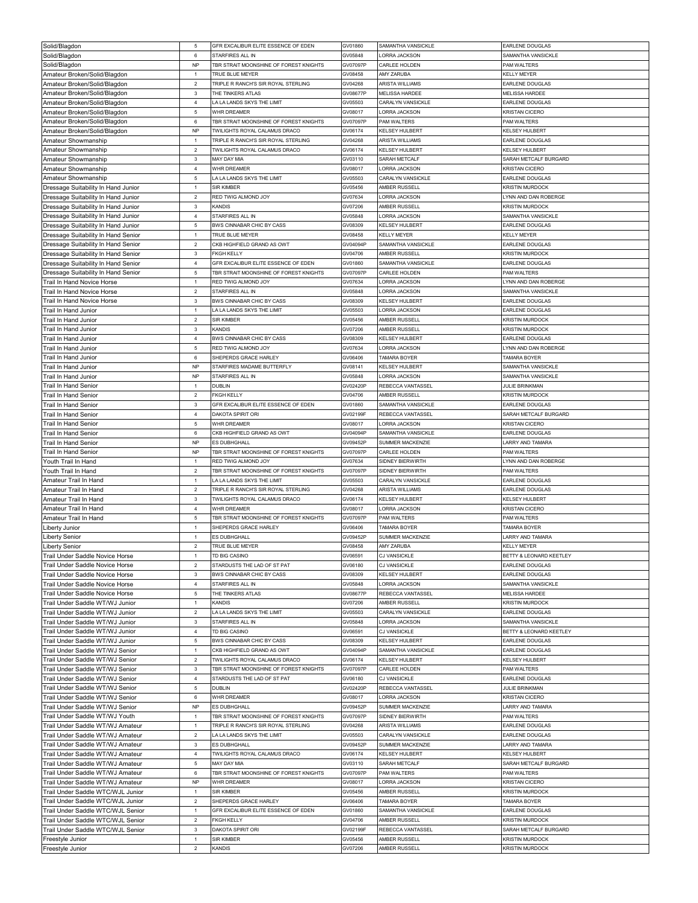| Solid/Blagdon                                                      | 5                              | GFR EXCALIBUR ELITE ESSENCE OF EDEN                                  | GV01860             | SAMANTHA VANSICKLE                          | <b>EARLENE DOUGLAS</b>                           |
|--------------------------------------------------------------------|--------------------------------|----------------------------------------------------------------------|---------------------|---------------------------------------------|--------------------------------------------------|
| Solid/Blagdon                                                      | 6                              | STARFIRES ALL IN                                                     | GV05848             | <b>LORRA JACKSON</b>                        | SAMANTHA VANSICKLE                               |
| Solid/Blagdon                                                      | <b>NP</b>                      | TBR STRAIT MOONSHINE OF FOREST KNIGHTS                               | GV07097P            | CARLEE HOLDEN                               | PAM WALTERS                                      |
| Amateur Broken/Solid/Blagdon                                       | 1                              | TRUE BLUE MEYER                                                      | GV08458             | AMY ZARUBA                                  | KELLY MEYER                                      |
| Amateur Broken/Solid/Blagdon                                       | $\overline{2}$                 | TRIPLE R RANCH'S SIR ROYAL STERLING                                  | GV04268             | ARISTA WILLIAMS                             | EARLENE DOUGLAS                                  |
| Amateur Broken/Solid/Blagdon                                       | $\mathbf{3}$                   | THE TINKERS ATLAS                                                    | GV08677P            | <b>MELISSA HARDEE</b>                       | MELISSA HARDEE                                   |
| Amateur Broken/Solid/Blagdon                                       | $\overline{4}$                 | LA LA LANDS SKYS THE LIMIT                                           | GV05503             | CARALYN VANSICKLE                           | EARLENE DOUGLAS                                  |
| Amateur Broken/Solid/Blagdon                                       | $\mathbf 5$                    | WHR DREAMER                                                          | GV08017             | ORRA JACKSON                                | KRISTAN CICERO                                   |
| Amateur Broken/Solid/Blagdon                                       | 6                              | TBR STRAIT MOONSHINE OF FOREST KNIGHTS                               | GV07097P            | PAM WALTERS                                 | PAM WALTERS                                      |
| Amateur Broken/Solid/Blagdon                                       | <b>NP</b>                      | TWILIGHTS ROYAL CALAMUS DRACO                                        | GV06174             | <b>KELSEY HULBERT</b>                       | KELSEY HULBERT                                   |
| Amateur Showmanship                                                | $\mathbf{1}$                   | TRIPLE R RANCH'S SIR ROYAL STERLING                                  | GV04268             | ARISTA WILLIAMS                             | <b>EARLENE DOUGLAS</b>                           |
| Amateur Showmanship                                                | $\boldsymbol{2}$               | TWILIGHTS ROYAL CALAMUS DRACO                                        | GV06174             | KELSEY HULBERT                              | KELSEY HULBERT                                   |
| Amateur Showmanship                                                | $\mathbf{3}$                   | MAY DAY MIA                                                          | GV03110             | SARAH METCALF                               | SARAH METCALF BURGARD                            |
| Amateur Showmanship                                                | $\overline{4}$<br>$\,$ 5 $\,$  | WHR DREAMER<br>LA LA LANDS SKYS THE LIMIT                            | GV08017<br>GV05503  | ORRA JACKSON<br>CARALYN VANSICKLE           | KRISTAN CICERO<br>EARLENE DOUGLAS                |
| Amateur Showmanship<br>Dressage Suitability In Hand Junior         | $\mathbf{1}$                   | SIR KIMBER                                                           | GV05456             | AMBER RUSSELI                               | <b>KRISTIN MURDOCK</b>                           |
| Dressage Suitability In Hand Junior                                | $\overline{2}$                 | RED TWIG ALMOND JOY                                                  | GV07634             | <b>LORRA JACKSON</b>                        | LYNN AND DAN ROBERGE                             |
| Dressage Suitability In Hand Junior                                | $\mathbf 3$                    | <b>KANDIS</b>                                                        | GV07206             | AMBER RUSSELL                               | <b>KRISTIN MURDOCK</b>                           |
| Dressage Suitability In Hand Junior                                | $\overline{4}$                 | STARFIRES ALL IN                                                     | GV05848             | <b>LORRA JACKSON</b>                        | SAMANTHA VANSICKLE                               |
| Dressage Suitability In Hand Junior                                | 5                              | BWS CINNABAR CHIC BY CASS                                            | GV08309             | KELSEY HULBERT                              | EARLENE DOUGLAS                                  |
| Dressage Suitability In Hand Senior                                | $\mathbf{1}$                   | TRUE BLUE MEYER                                                      | GV08458             | <b>KELLY MEYER</b>                          | <b>KELLY MEYER</b>                               |
| Dressage Suitability In Hand Senior                                | $\overline{2}$                 | CKB HIGHFIELD GRAND AS OWT                                           | GV04094P            | SAMANTHA VANSICKLE                          | EARLENE DOUGLAS                                  |
| Dressage Suitability In Hand Senior                                | $\mathbf 3$                    | <b>FKGH KELLY</b>                                                    | GV04706             | AMBER RUSSELL                               | <b>KRISTIN MURDOCK</b>                           |
| Dressage Suitability In Hand Senior                                | $\overline{4}$                 | GFR EXCALIBUR ELITE ESSENCE OF EDEN                                  | GV01860             | SAMANTHA VANSICKLE                          | EARLENE DOUGLAS                                  |
| Dressage Suitability In Hand Senior                                | $\mathbf 5$                    | TBR STRAIT MOONSHINE OF FOREST KNIGHTS                               | GV07097P            | CARLEE HOLDEN                               | PAM WALTERS                                      |
| Trail In Hand Novice Horse                                         | $\mathbf{1}$                   | RED TWIG ALMOND JOY                                                  | GV07634             | <b>LORRA JACKSON</b>                        | LYNN AND DAN ROBERGE                             |
| Trail In Hand Novice Horse                                         | $\overline{2}$                 | STARFIRES ALL IN                                                     | GV05848             | LORRA JACKSON                               | SAMANTHA VANSICKLE                               |
| Trail In Hand Novice Horse                                         | $\mathbf{3}$                   | BWS CINNABAR CHIC BY CASS                                            | GV08309             | <b>KELSEY HULBERT</b>                       | <b>EARLENE DOUGLAS</b>                           |
| Trail In Hand Junior                                               | $\mathbf{1}$                   | A LA LANDS SKYS THE LIMIT                                            | GV05503             | ORRA JACKSON                                | EARLENE DOUGLAS                                  |
| Trail In Hand Junior                                               | $\overline{2}$                 | <b>SIR KIMBER</b>                                                    | GV05456             | AMBER RUSSELL                               | <b>KRISTIN MURDOCK</b>                           |
| Trail In Hand Junior                                               | $\mathbf{3}$                   | KANDIS                                                               | GV07206             | AMBER RUSSELL                               | <b>KRISTIN MURDOCK</b>                           |
| Trail In Hand Junior                                               | $\overline{4}$                 | BWS CINNABAR CHIC BY CASS                                            | GV08309             | <b>KELSEY HULBERT</b>                       | <b>EARLENE DOUGLAS</b>                           |
| <b>Trail In Hand Junior</b>                                        | 5                              | RED TWIG ALMOND JOY                                                  | GV07634             | ORRA JACKSON                                | YNN AND DAN ROBERGE                              |
| Trail In Hand Junior                                               | 6                              | SHEPERDS GRACE HARLEY                                                | GV06406             | TAMARA BOYER                                | TAMARA BOYER                                     |
| Trail In Hand Junior                                               | <b>NP</b>                      | STARFIRES MADAME BUTTERFLY                                           | GV08141             | <b>KELSEY HULBERT</b>                       | SAMANTHA VANSICKLE                               |
| Trail In Hand Junior                                               | <b>NP</b>                      | STARFIRES ALL IN                                                     | GV05848             | LORRA JACKSON                               | SAMANTHA VANSICKLE                               |
| Trail In Hand Senior                                               | 1                              | DUBLIN                                                               | GV02420P            | REBECCA VANTASSEL                           | <b>JULIE BRINKMAN</b>                            |
| <b>Trail In Hand Senior</b>                                        | $\overline{2}$                 | <b>FKGH KELLY</b>                                                    | GV04706             | AMBER RUSSELL                               | <b>KRISTIN MURDOCK</b>                           |
| Trail In Hand Senior                                               | $\mathbf{3}$<br>$\bf{4}$       | GFR EXCALIBUR ELITE ESSENCE OF EDEN<br>DAKOTA SPIRIT ORI             | GV01860<br>GV02199F | SAMANTHA VANSICKLE<br>REBECCA VANTASSEL     | EARLENE DOUGLAS<br>SARAH METCALF BURGARD         |
| Trail In Hand Senior<br>Trail In Hand Senior                       | 5                              | WHR DREAMER                                                          | GV08017             | LORRA JACKSON                               | KRISTAN CICERO                                   |
| Trail In Hand Senior                                               | 6                              | CKB HIGHFIELD GRAND AS OWT                                           | GV04094P            | SAMANTHA VANSICKLE                          | EARLENE DOUGLAS                                  |
| Trail In Hand Senior                                               | <b>NP</b>                      | ES DUBHGHALL                                                         | GV09452P            | SUMMER MACKENZIE                            | LARRY AND TAMARA                                 |
|                                                                    |                                | TBR STRAIT MOONSHINE OF FOREST KNIGHTS                               |                     |                                             |                                                  |
|                                                                    |                                |                                                                      |                     |                                             |                                                  |
| Trail In Hand Senior                                               | <b>NP</b><br>1                 |                                                                      | GV07097P            | CARLEE HOLDEN                               | PAM WALTERS                                      |
| Youth Trail In Hand                                                | $\overline{2}$                 | RED TWIG ALMOND JOY                                                  | GV07634<br>GV07097P | SIDNEY BIERWIRTH<br>SIDNEY BIERWIRTH        | YNN AND DAN ROBERGE<br>PAM WALTERS               |
| Youth Trail In Hand<br>Amateur Trail In Hand                       | $\mathbf{1}$                   | TBR STRAIT MOONSHINE OF FOREST KNIGHTS<br>LA LA LANDS SKYS THE LIMIT | GV05503             | CARALYN VANSICKLE                           | <b>EARLENE DOUGLAS</b>                           |
| Amateur Trail In Hand                                              | $\overline{2}$                 | TRIPLE R RANCH'S SIR ROYAL STERLING                                  | GV04268             | ARISTA WILLIAMS                             | EARLENE DOUGLAS                                  |
| Amateur Trail In Hand                                              | $\mathbf{3}$                   | TWILIGHTS ROYAL CALAMUS DRACO                                        | GV06174             | KELSEY HULBERT                              | KELSEY HULBERT                                   |
| Amateur Trail In Hand                                              | $\overline{4}$                 | WHR DREAMER                                                          | GV08017             | ORRA JACKSON                                | KRISTAN CICERO                                   |
| Amateur Trail In Hand                                              | 5                              | TBR STRAIT MOONSHINE OF FOREST KNIGHTS                               | GV07097P            | PAM WALTERS                                 | PAM WALTERS                                      |
| Liberty Junior                                                     | 1                              | SHEPERDS GRACE HARLEY                                                | GV06406             | TAMARA BOYER                                | TAMARA BOYER                                     |
| <b>Liberty Senior</b>                                              | $\mathbf{1}$                   | ES DUBHGHALL                                                         | GV09452P            | SUMMER MACKENZIE                            | LARRY AND TAMARA                                 |
| <b>Liberty Senior</b>                                              | $\overline{a}$                 | TRUE BLUE MEYER                                                      | GV08458             | AMY ZARUBA                                  | <b>KELLY MEYER</b>                               |
| Trail Under Saddle Novice Horse                                    | $\mathbf{1}$                   | TD BIG CASINO                                                        | GV06591             | CJ VANSICKLE                                | BETTY & LEONARD KEETLEY                          |
| Trail Under Saddle Novice Horse                                    | $\overline{2}$                 | STARDUSTS THE LAD OF ST PAT                                          | GV06180             | CJ VANSICKLE                                | <b>EARLENE DOUGLAS</b>                           |
| Trail Under Saddle Novice Horse                                    | $\mathbf{3}$                   | BWS CINNABAR CHIC BY CASS                                            | GV08309             | KELSEY HULBERT                              | <b>EARLENE DOUGLAS</b>                           |
| Trail Under Saddle Novice Horse                                    | $\overline{4}$                 | STARFIRES ALL IN                                                     | GV05848             | ORRA JACKSON                                | SAMANTHA VANSICKLE                               |
| Trail Under Saddle Novice Horse                                    | $\mathbf 5$                    | THE TINKERS ATLAS                                                    | GV08677P            | REBECCA VANTASSEL                           | MELISSA HARDEE                                   |
| Trail Under Saddle WT/WJ Junior                                    | $\mathbf{1}$                   | <b>KANDIS</b>                                                        | GV07206             | AMBER RUSSELL                               | <b>KRISTIN MURDOCK</b>                           |
| Trail Under Saddle WT/WJ Junior                                    | $\overline{2}$                 | LA LA LANDS SKYS THE LIMIT                                           | GV05503             | CARALYN VANSICKLE                           | EARLENE DOUGLAS                                  |
| Trail Under Saddle WT/WJ Junior                                    | $\mathbf 3$                    | STARFIRES ALL IN                                                     | GV05848             | LORRA JACKSON                               | SAMANTHA VANSICKLE                               |
| Trail Under Saddle WT/WJ Junior                                    | $\overline{4}$                 | TD BIG CASINO                                                        | GV06591             | CJ VANSICKLE                                | BETTY & LEONARD KEETLEY                          |
| Trail Under Saddle WT/WJ Junior                                    | 5<br>$\mathbf{1}$              | BWS CINNABAR CHIC BY CASS<br>CKB HIGHFIELD GRAND AS OWT              | GV08309<br>GV04094P | <b>KELSEY HULBERT</b><br>SAMANTHA VANSICKLE | <b>EARLENE DOUGLAS</b><br><b>EARLENE DOUGLAS</b> |
| Trail Under Saddle WT/WJ Senior<br>Trail Under Saddle WT/WJ Senior | $\mathbf 2$                    | TWILIGHTS ROYAL CALAMUS DRACO                                        | GV06174             | KELSEY HULBERT                              | KELSEY HULBERT                                   |
|                                                                    | $\mathbf 3$                    | TBR STRAIT MOONSHINE OF FOREST KNIGHTS                               |                     | CARLEE HOLDEN                               | <b>PAM WALTERS</b>                               |
| Trail Under Saddle WT/WJ Senior<br>Trail Under Saddle WT/WJ Senior | $\overline{4}$                 | STARDUSTS THE LAD OF ST PAT                                          | GV07097P<br>GV06180 | CJ VANSICKLE                                | EARLENE DOUGLAS                                  |
| Trail Under Saddle WT/WJ Senior                                    | $\mathbf 5$                    | <b>DUBLIN</b>                                                        | GV02420P            | REBECCA VANTASSEL                           | <b>JULIE BRINKMAN</b>                            |
| Trail Under Saddle WT/WJ Senior                                    | 6                              | WHR DREAMER                                                          | GV08017             | LORRA JACKSON                               | <b>KRISTAN CICERO</b>                            |
| Trail Under Saddle WT/WJ Senior                                    | <b>NP</b>                      | ES DUBHGHALL                                                         | GV09452P            | SUMMER MACKENZIE                            | ARRY AND TAMARA                                  |
| Trail Under Saddle WT/WJ Youth                                     | $\mathbf{1}$                   | TBR STRAIT MOONSHINE OF FOREST KNIGHTS                               | GV07097P            | SIDNEY BIERWIRTH                            | PAM WALTERS                                      |
| Trail Under Saddle WT/WJ Amateur                                   | $\mathbf{1}$                   | TRIPLE R RANCH'S SIR ROYAL STERLING                                  | GV04268             | ARISTA WILLIAMS                             | <b>EARLENE DOUGLAS</b>                           |
| Trail Under Saddle WT/WJ Amateur                                   | $\overline{2}$                 | A LA LANDS SKYS THE LIMIT                                            | GV05503             | CARALYN VANSICKLE                           | EARLENE DOUGLAS                                  |
| Trail Under Saddle WT/WJ Amateur                                   | $\mathbf 3$                    | ES DUBHGHALL                                                         | GV09452P            | SUMMER MACKENZIE                            | LARRY AND TAMARA                                 |
| Trail Under Saddle WT/WJ Amateur                                   | $\overline{4}$                 | TWILIGHTS ROYAL CALAMUS DRACO                                        | GV06174             | KELSEY HULBERT                              | KELSEY HULBERT                                   |
| Trail Under Saddle WT/WJ Amateur                                   | $\overline{5}$                 | MAY DAY MIA                                                          | GV03110             | SARAH METCALF                               | SARAH METCALF BURGARD                            |
| Trail Under Saddle WT/WJ Amateur                                   | 6                              | TBR STRAIT MOONSHINE OF FOREST KNIGHTS                               | GV07097P            | PAM WALTERS                                 | PAM WALTERS                                      |
| Trail Under Saddle WT/WJ Amateur                                   | <b>NP</b>                      | WHR DREAMER                                                          | GV08017             | ORRA JACKSON                                | KRISTAN CICERO                                   |
| Trail Under Saddle WTC/WJL Junior                                  | $\mathbf{1}$                   | <b>SIR KIMBER</b>                                                    | GV05456             | AMBER RUSSELL                               | <b>KRISTIN MURDOCK</b>                           |
| Trail Under Saddle WTC/WJL Junior                                  | $\overline{2}$                 | SHEPERDS GRACE HARLEY                                                | GV06406             | TAMARA BOYER                                | TAMARA BOYER                                     |
| Trail Under Saddle WTC/WJL Senior                                  | $\mathbf{1}$                   | GFR EXCALIBUR ELITE ESSENCE OF EDEN                                  | GV01860             | SAMANTHA VANSICKLE                          | <b>EARLENE DOUGLAS</b>                           |
| Trail Under Saddle WTC/WJL Senior                                  | $\mathbf 2$                    | <b>FKGH KELLY</b>                                                    | GV04706             | AMBER RUSSELL                               | <b>KRISTIN MURDOCK</b>                           |
| Trail Under Saddle WTC/WJL Senior                                  | $\mathbf{3}$                   | DAKOTA SPIRIT ORI                                                    | GV02199F            | REBECCA VANTASSEL                           | SARAH METCALF BURGARD                            |
| Freestyle Junior<br>Freestyle Junior                               | $\mathbf{1}$<br>$\overline{2}$ | <b>SIR KIMBER</b><br><b>KANDIS</b>                                   | GV05456<br>GV07206  | AMBER RUSSELL<br>AMBER RUSSELL              | <b>KRISTIN MURDOCK</b><br><b>KRISTIN MURDOCK</b> |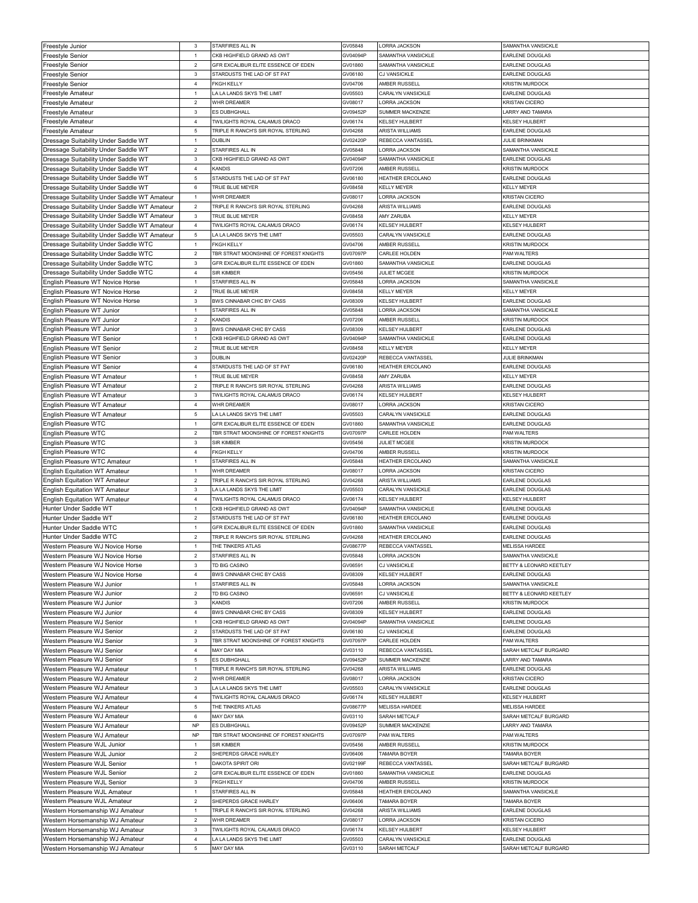| Freestyle Junior                             | 3                         | STARFIRES ALL IN                       | GV05848  | LORRA JACKSON         | SAMANTHA VANSICKLE      |
|----------------------------------------------|---------------------------|----------------------------------------|----------|-----------------------|-------------------------|
| Freestyle Senior                             | $\overline{1}$            | CKB HIGHFIELD GRAND AS OWT             | GV04094P | SAMANTHA VANSICKLE    | EARLENE DOUGLAS         |
| Freestyle Senior                             | $\overline{2}$            | GFR EXCALIBUR ELITE ESSENCE OF EDEN    | GV01860  | SAMANTHA VANSICKLE    | <b>EARLENE DOUGLAS</b>  |
|                                              |                           |                                        |          |                       |                         |
| Freestyle Senior                             | $\ensuremath{\mathsf{3}}$ | STARDUSTS THE LAD OF ST PAT            | GV06180  | <b>CJ VANSICKLE</b>   | EARLENE DOUGLAS         |
| Freestyle Senior                             | $\overline{4}$            | <b>FKGH KELLY</b>                      | GV04706  | AMBER RUSSELL         | <b>KRISTIN MURDOCK</b>  |
| Freestyle Amateur                            | $\mathbf{1}$              | LA LA LANDS SKYS THE LIMIT             | GV05503  | CARALYN VANSICKLE     | <b>EARLENE DOUGLAS</b>  |
| Freestyle Amateur                            | $\overline{2}$            | WHR DREAMER                            | GV08017  | LORRA JACKSON         | <b>KRISTAN CICERO</b>   |
| Freestyle Amateur                            | $\ensuremath{\mathsf{3}}$ | ES DUBHGHALL                           | GV09452F | SUMMER MACKENZIE      | ARRY AND TAMARA         |
| Freestyle Amateur                            | $\overline{4}$            | TWILIGHTS ROYAL CALAMUS DRACO          | GV06174  | <b>KELSEY HULBERT</b> | KELSEY HULBERT          |
| Freestyle Amateur                            | $\mathbf 5$               | TRIPLE R RANCH'S SIR ROYAL STERLING    | GV04268  | ARISTA WILLIAMS       | <b>EARLENE DOUGLAS</b>  |
|                                              | $\mathbf{1}$              | DUBLIN                                 | GV02420F | REBECCA VANTASSEL     | JULIE BRINKMAN          |
| Dressage Suitability Under Saddle WT         |                           |                                        |          |                       |                         |
| Dressage Suitability Under Saddle WT         | $\sqrt{2}$                | STARFIRES ALL IN                       | GV05848  | ORRA JACKSON          | SAMANTHA VANSICKLE      |
| Dressage Suitability Under Saddle WT         | $\mathbf 3$               | CKB HIGHFIELD GRAND AS OWT             | GV04094F | SAMANTHA VANSICKLE    | <b>EARLENE DOUGLAS</b>  |
| Dressage Suitability Under Saddle WT         | $\overline{4}$            | KANDIS                                 | GV07206  | AMBER RUSSELI         | <b>KRISTIN MURDOCK</b>  |
| Dressage Suitability Under Saddle WT         | $\mathbf 5$               | STARDUSTS THE LAD OF ST PAT            | GV06180  | HEATHER ERCOLANO      | <b>EARLENE DOUGLAS</b>  |
| Dressage Suitability Under Saddle WT         | $\,6\,$                   | TRUE BLUE MEYER                        | GV08458  | <b>KELLY MEYER</b>    | <b>KELLY MEYER</b>      |
| Dressage Suitability Under Saddle WT Amateur | $\mathbf{1}$              | <b>WHR DRFAMER</b>                     | GV08017  | <b>LORRA JACKSON</b>  | <b>KRISTAN CICERO</b>   |
| Dressage Suitability Under Saddle WT Amateur | $\overline{2}$            | TRIPLE R RANCH'S SIR ROYAL STERLING    | GV04268  | ARISTA WILLIAMS       | EARLENE DOUGLAS         |
|                                              |                           | TRUE BLUE MEYER                        |          |                       |                         |
| Dressage Suitability Under Saddle WT Amateur | $\mathbf 3$               |                                        | GV08458  | AMY ZARUBA            | <b>KELLY MEYER</b>      |
| Dressage Suitability Under Saddle WT Amateur | $\sqrt{4}$                | TWILIGHTS ROYAL CALAMUS DRACO          | GV06174  | KELSEY HULBERT        | KELSEY HULBERT          |
| Dressage Suitability Under Saddle WT Amateur | $\mathbf 5$               | LA LA LANDS SKYS THE LIMIT             | GV05503  | CARALYN VANSICKLE     | <b>FARLENE DOUGLAS</b>  |
| Dressage Suitability Under Saddle WTC        | $\mathbf{1}$              | <b>FKGH KELLY</b>                      | GV04706  | AMBER RUSSELL         | <b>KRISTIN MURDOCK</b>  |
| Dressage Suitability Under Saddle WTC        | $\overline{2}$            | TBR STRAIT MOONSHINE OF FOREST KNIGHTS | GV07097F | CARLEE HOLDEN         | PAM WALTERS             |
| Dressage Suitability Under Saddle WTC        | $\ensuremath{\mathsf{3}}$ | GFR EXCALIBUR ELITE ESSENCE OF EDEN    | GV01860  | SAMANTHA VANSICKLE    | EARLENE DOUGLAS         |
| Dressage Suitability Under Saddle WTC        | $\bf{4}$                  | SIR KIMBER                             | GV05456  | JULIET MCGEE          | <b>KRISTIN MURDOCK</b>  |
|                                              |                           |                                        |          |                       |                         |
| English Pleasure WT Novice Horse             | $\mathbf{1}$              | STARFIRES ALL IN                       | GV05848  | <b>LORRA JACKSON</b>  | SAMANTHA VANSICKLE      |
| English Pleasure WT Novice Horse             | $\mathbf 2$               | TRUE BLUE MEYER                        | GV08458  | <b>KELLY MEYER</b>    | <b>KELLY MEYER</b>      |
| English Pleasure WT Novice Horse             | $\mathbf 3$               | BWS CINNABAR CHIC BY CASS              | GV08309  | <b>KELSEY HULBERT</b> | EARLENE DOUGLAS         |
| English Pleasure WT Junior                   | $\mathbf{1}$              | STARFIRES ALL IN                       | GV05848  | LORRA JACKSON         | SAMANTHA VANSICKLE      |
| English Pleasure WT Junior                   | $\overline{2}$            | KANDIS                                 | GV07206  | AMBER RUSSELL         | <b>KRISTIN MURDOCK</b>  |
| English Pleasure WT Junior                   | $\ensuremath{\mathsf{3}}$ | BWS CINNABAR CHIC BY CASS              | GV08309  | KELSEY HULBERT        | <b>EARLENE DOUGLAS</b>  |
| English Pleasure WT Senior                   | $\mathbf{1}$              | CKB HIGHFIELD GRAND AS OWT             | GV04094F | SAMANTHA VANSICKLE    | <b>EARLENE DOUGLAS</b>  |
|                                              | $\sqrt{2}$                | TRUE BLUE MEYER                        | GV08458  | <b>KELLY MEYER</b>    | KELLY MEYER             |
| English Pleasure WT Senior                   |                           |                                        |          |                       |                         |
| English Pleasure WT Senior                   | 3                         | DUBLIN                                 | GV02420F | REBECCA VANTASSEL     | JULIE BRINKMAN          |
| English Pleasure WT Senior                   | 4                         | STARDUSTS THE LAD OF ST PAT            | GV06180  | HEATHER ERCOLANO      | EARLENE DOUGLAS         |
| English Pleasure WT Amateur                  | $\overline{1}$            | TRUE BLUE MEYER                        | GV08458  | AMY ZARUBA            | <b>KELLY MEYER</b>      |
| English Pleasure WT Amateur                  | $\sqrt{2}$                | TRIPLE R RANCH'S SIR ROYAL STERLING    | GV04268  | ARISTA WILLIAMS       | EARLENE DOUGLAS         |
| English Pleasure WT Amateur                  | $\mathbf 3$               | TWILIGHTS ROYAL CALAMUS DRACO          | GV06174  | <b>KELSEY HULBERT</b> | <b>KELSEY HULBERT</b>   |
| English Pleasure WT Amateur                  | $\overline{4}$            | WHR DREAMER                            | GV08017  | ORRA JACKSON          | <b>KRISTAN CICERO</b>   |
| English Pleasure WT Amateur                  | $\mathbf 5$               | LA LA LANDS SKYS THE LIMIT             | GV05503  | CARALYN VANSICKLE     | EARLENE DOUGLAS         |
|                                              |                           |                                        |          |                       |                         |
| English Pleasure WTC                         | $\mathbf{1}$              | GFR EXCALIBUR ELITE ESSENCE OF EDEN    | GV01860  | SAMANTHA VANSICKLE    | EARLENE DOUGLAS         |
| English Pleasure WTC                         | $\mathbf 2$               | TBR STRAIT MOONSHINE OF FOREST KNIGHTS | GV07097F | CARLEE HOLDEN         | PAM WALTERS             |
| English Pleasure WTC                         | $\mathbf{3}$              | SIR KIMBER                             | GV05456  | <b>JULIET MCGEE</b>   | <b>KRISTIN MURDOCK</b>  |
|                                              |                           |                                        |          |                       |                         |
| English Pleasure WTC                         | $\overline{4}$            | <b>FKGH KELLY</b>                      | GV04706  | AMBER RUSSELL         | <b>KRISTIN MURDOCK</b>  |
| English Pleasure WTC Amateur                 | $\mathbf{1}$              | STARFIRES ALL IN                       | GV05848  | HEATHER ERCOLANO      | SAMANTHA VANSICKLE      |
|                                              | $\mathbf{1}$              | <b>WHR DRFAMER</b>                     | GV08017  | <b>LORRA JACKSON</b>  | <b>KRISTAN CICERO</b>   |
| <b>English Equitation WT Amateur</b>         |                           |                                        |          |                       |                         |
| <b>English Equitation WT Amateur</b>         | $\overline{2}$            | TRIPLE R RANCH'S SIR ROYAL STERLING    | GV04268  | ARISTA WILLIAMS       | <b>EARLENE DOUGLAS</b>  |
| <b>English Equitation WT Amateur</b>         | $\mathbf{3}$              | LA LA LANDS SKYS THE LIMIT             | GV05503  | CARALYN VANSICKLE     | EARLENE DOUGLAS         |
| <b>English Equitation WT Amateur</b>         | $\overline{4}$            | TWILIGHTS ROYAL CALAMUS DRACO          | GV06174  | <b>KELSEY HULBERT</b> | KELSEY HULBERT          |
| Hunter Under Saddle WT                       | $\mathbf{1}$              | CKB HIGHFIELD GRAND AS OWT             | GV04094F | SAMANTHA VANSICKLE    | EARLENE DOUGLAS         |
| Hunter Under Saddle WT                       | $\overline{2}$            | STARDUSTS THE LAD OF ST PAT            | GV06180  | HEATHER ERCOLANO      | <b>EARLENE DOUGLAS</b>  |
| Hunter Under Saddle WTC                      | $\mathbf{1}$              | GFR EXCALIBUR ELITE ESSENCE OF EDEN    | GV01860  | SAMANTHA VANSICKLE    | <b>FARLENE DOUGLAS</b>  |
| Hunter Under Saddle WTC                      | $\overline{2}$            | TRIPLE R RANCH'S SIR ROYAL STERLING    | GV04268  | HEATHER ERCOLANO      | EARLENE DOUGLAS         |
|                                              | $\overline{1}$            |                                        |          | REBECCA VANTASSEL     |                         |
| Western Pleasure WJ Novice Horse             |                           | THE TINKERS ATLAS                      | GV08677F |                       | <b>MELISSA HARDEE</b>   |
| Western Pleasure WJ Novice Horse             | $\overline{2}$            | STARFIRES ALL IN                       | GV05848  | LORRA JACKSON         | SAMANTHA VANSICKLE      |
| Western Pleasure WJ Novice Horse             | $\mathbf{3}$              | TD BIG CASINO                          | GV06591  | CJ VANSICKLE          | BETTY & LEONARD KEETLEY |
| Western Pleasure WJ Novice Horse             | $\overline{4}$            | BWS CINNABAR CHIC BY CASS              | GV08309  | KELSEY HULBERT        | EARLENE DOUGLAS         |
| Western Pleasure WJ Junior                   | $\mathbf{1}$              | STARFIRES ALL IN                       | GV05848  | ORRA JACKSON          | SAMANTHA VANSICKLE      |
| Western Pleasure WJ Junior                   | $\overline{2}$            | TD BIG CASINO                          | GV06591  | CJ VANSICKLE          | BETTY & LEONARD KEETLEY |
| Western Pleasure WJ Junior                   | 3                         | KANDIS                                 | GV07206  | AMBER RUSSELL         | <b>KRISTIN MURDOCK</b>  |
| Western Pleasure WJ Junior                   | $\overline{4}$            | BWS CINNABAR CHIC BY CASS              | GV08309  | <b>KELSEY HULBERT</b> | EARLENE DOUGLAS         |
| Western Pleasure WJ Senior                   | $\mathbf{1}$              | CKB HIGHFIELD GRAND AS OWT             | GV04094F | SAMANTHA VANSICKLE    | EARLENE DOUGLAS         |
|                                              |                           |                                        |          |                       |                         |
| Western Pleasure WJ Senior                   | $\mathbf 2$               | STARDUSTS THE LAD OF ST PAT            | GV06180  | CJ VANSICKLE          | <b>EARLENE DOUGLAS</b>  |
| Western Pleasure WJ Senior                   | $\mathbf{3}$              | TBR STRAIT MOONSHINE OF FOREST KNIGHTS | GV07097F | CARLEE HOLDEN         | PAM WALTERS             |
| Western Pleasure WJ Senior                   | $\overline{4}$            | MAY DAY MIA                            | GV03110  | REBECCA VANTASSEL     | SARAH METCALF BURGARD   |
| Western Pleasure WJ Senior                   | $\overline{5}$            | ES DUBHGHALL                           | GV09452F | SUMMER MACKENZIE      | LARRY AND TAMARA        |
| Western Pleasure WJ Amateur                  | $\mathbf{1}$              | TRIPLE R RANCH'S SIR ROYAL STERLING    | GV04268  | ARISTA WILLIAMS       | <b>EARLENE DOUGLAS</b>  |
| Western Pleasure WJ Amateur                  | $\overline{2}$            | WHR DREAMER                            | GV08017  | LORRA JACKSON         | <b>KRISTAN CICERO</b>   |
| Western Pleasure WJ Amateur                  | $\mathbf{3}$              | LA LA LANDS SKYS THE LIMIT             | GV05503  | CARALYN VANSICKLE     | EARLENE DOUGLAS         |
| Western Pleasure WJ Amateur                  | $\overline{4}$            | TWILIGHTS ROYAL CALAMUS DRACO          | GV06174  | KELSEY HULBERT        | KELSEY HULBERT          |
|                                              |                           |                                        |          |                       |                         |
| Western Pleasure WJ Amateur                  | $\mathbf 5$               | THE TINKERS ATLAS                      | GV08677F | MELISSA HARDEE        | MELISSA HARDEE          |
| Western Pleasure WJ Amateur                  | 6                         | MAY DAY MIA                            | GV03110  | SARAH METCALF         | SARAH METCALF BURGARD   |
| Western Pleasure WJ Amateur                  | <b>NP</b>                 | ES DUBHGHALL                           | GV09452F | SUMMER MACKENZIE      | LARRY AND TAMARA        |
| Western Pleasure WJ Amateur                  | <b>NP</b>                 | TBR STRAIT MOONSHINE OF FOREST KNIGHTS | GV07097P | PAM WALTERS           | PAM WALTERS             |
| Western Pleasure WJL Junior                  | $\mathbf{1}$              | SIR KIMBER                             | GV05456  | AMBER RUSSELL         | <b>KRISTIN MURDOCK</b>  |
| Western Pleasure WJL Junior                  | $\overline{2}$            | SHEPERDS GRACE HARLEY                  | GV06406  | TAMARA BOYER          | TAMARA BOYER            |
| Western Pleasure WJL Senior                  | $\mathbf{1}$              | DAKOTA SPIRIT ORI                      | GV02199F | REBECCA VANTASSEL     | SARAH METCALF BURGARD   |
| Western Pleasure WJL Senior                  | $\overline{2}$            | GFR EXCALIBUR ELITE ESSENCE OF EDEN    | GV01860  | SAMANTHA VANSICKLE    | EARLENE DOUGLAS         |
|                                              |                           |                                        |          |                       |                         |
| Western Pleasure WJL Senior                  | $\mathbf 3$               | <b>FKGH KELLY</b>                      | GV04706  | AMBER RUSSELL         | <b>KRISTIN MURDOCK</b>  |
| Western Pleasure WJL Amateur                 | $\mathbf{1}$              | STARFIRES ALL IN                       | GV05848  | HEATHER ERCOLANO      | SAMANTHA VANSICKLE      |
| Western Pleasure WJL Amateur                 | $\overline{2}$            | SHEPERDS GRACE HARLEY                  | GV06406  | <b>TAMARA BOYER</b>   | <b>TAMARA BOYER</b>     |
| Western Horsemanship WJ Amateur              | $\mathbf{1}$              | TRIPLE R RANCH'S SIR ROYAL STERLING    | GV04268  | ARISTA WILLIAMS       | EARLENE DOUGLAS         |
| Western Horsemanship WJ Amateur              | $\sqrt{2}$                | WHR DREAMER                            | GV08017  | ORRA JACKSON          | <b>KRISTAN CICERO</b>   |
| Western Horsemanship WJ Amateur              | $\ensuremath{\mathsf{3}}$ | TWILIGHTS ROYAL CALAMUS DRACO          | GV06174  | <b>KELSEY HULBERT</b> | <b>KELSEY HULBERT</b>   |
| Western Horsemanship WJ Amateur              | $\overline{4}$            | LA LA LANDS SKYS THE LIMIT             | GV05503  | CARALYN VANSICKLE     | EARLENE DOUGLAS         |